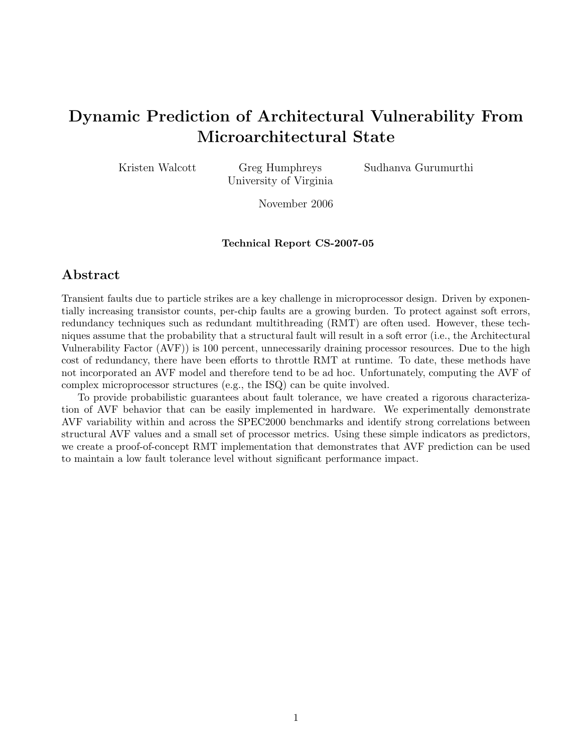# Dynamic Prediction of Architectural Vulnerability From Microarchitectural State

Kristen Walcott Greg Humphreys University of Virginia Sudhanva Gurumurthi

November 2006

#### Technical Report CS-2007-05

# Abstract

Transient faults due to particle strikes are a key challenge in microprocessor design. Driven by exponentially increasing transistor counts, per-chip faults are a growing burden. To protect against soft errors, redundancy techniques such as redundant multithreading (RMT) are often used. However, these techniques assume that the probability that a structural fault will result in a soft error (i.e., the Architectural Vulnerability Factor (AVF)) is 100 percent, unnecessarily draining processor resources. Due to the high cost of redundancy, there have been efforts to throttle RMT at runtime. To date, these methods have not incorporated an AVF model and therefore tend to be ad hoc. Unfortunately, computing the AVF of complex microprocessor structures (e.g., the ISQ) can be quite involved.

To provide probabilistic guarantees about fault tolerance, we have created a rigorous characterization of AVF behavior that can be easily implemented in hardware. We experimentally demonstrate AVF variability within and across the SPEC2000 benchmarks and identify strong correlations between structural AVF values and a small set of processor metrics. Using these simple indicators as predictors, we create a proof-of-concept RMT implementation that demonstrates that AVF prediction can be used to maintain a low fault tolerance level without significant performance impact.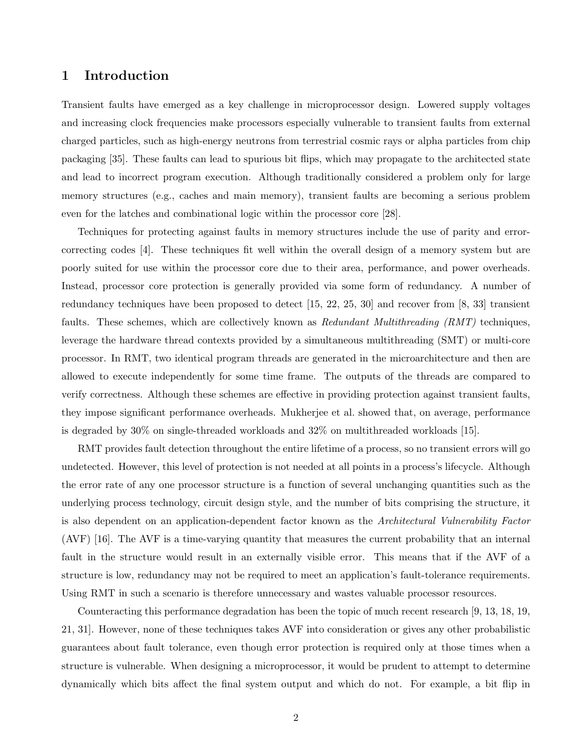# 1 Introduction

Transient faults have emerged as a key challenge in microprocessor design. Lowered supply voltages and increasing clock frequencies make processors especially vulnerable to transient faults from external charged particles, such as high-energy neutrons from terrestrial cosmic rays or alpha particles from chip packaging [35]. These faults can lead to spurious bit flips, which may propagate to the architected state and lead to incorrect program execution. Although traditionally considered a problem only for large memory structures (e.g., caches and main memory), transient faults are becoming a serious problem even for the latches and combinational logic within the processor core [28].

Techniques for protecting against faults in memory structures include the use of parity and errorcorrecting codes [4]. These techniques fit well within the overall design of a memory system but are poorly suited for use within the processor core due to their area, performance, and power overheads. Instead, processor core protection is generally provided via some form of redundancy. A number of redundancy techniques have been proposed to detect [15, 22, 25, 30] and recover from [8, 33] transient faults. These schemes, which are collectively known as *Redundant Multithreading (RMT)* techniques, leverage the hardware thread contexts provided by a simultaneous multithreading (SMT) or multi-core processor. In RMT, two identical program threads are generated in the microarchitecture and then are allowed to execute independently for some time frame. The outputs of the threads are compared to verify correctness. Although these schemes are effective in providing protection against transient faults, they impose significant performance overheads. Mukherjee et al. showed that, on average, performance is degraded by 30% on single-threaded workloads and 32% on multithreaded workloads [15].

RMT provides fault detection throughout the entire lifetime of a process, so no transient errors will go undetected. However, this level of protection is not needed at all points in a process's lifecycle. Although the error rate of any one processor structure is a function of several unchanging quantities such as the underlying process technology, circuit design style, and the number of bits comprising the structure, it is also dependent on an application-dependent factor known as the Architectural Vulnerability Factor (AVF) [16]. The AVF is a time-varying quantity that measures the current probability that an internal fault in the structure would result in an externally visible error. This means that if the AVF of a structure is low, redundancy may not be required to meet an application's fault-tolerance requirements. Using RMT in such a scenario is therefore unnecessary and wastes valuable processor resources.

Counteracting this performance degradation has been the topic of much recent research [9, 13, 18, 19, 21, 31]. However, none of these techniques takes AVF into consideration or gives any other probabilistic guarantees about fault tolerance, even though error protection is required only at those times when a structure is vulnerable. When designing a microprocessor, it would be prudent to attempt to determine dynamically which bits affect the final system output and which do not. For example, a bit flip in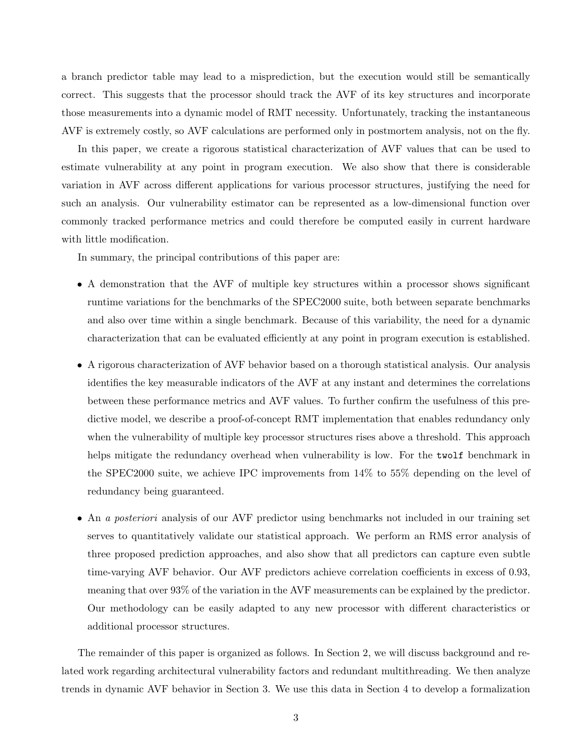a branch predictor table may lead to a misprediction, but the execution would still be semantically correct. This suggests that the processor should track the AVF of its key structures and incorporate those measurements into a dynamic model of RMT necessity. Unfortunately, tracking the instantaneous AVF is extremely costly, so AVF calculations are performed only in postmortem analysis, not on the fly.

In this paper, we create a rigorous statistical characterization of AVF values that can be used to estimate vulnerability at any point in program execution. We also show that there is considerable variation in AVF across different applications for various processor structures, justifying the need for such an analysis. Our vulnerability estimator can be represented as a low-dimensional function over commonly tracked performance metrics and could therefore be computed easily in current hardware with little modification.

In summary, the principal contributions of this paper are:

- A demonstration that the AVF of multiple key structures within a processor shows significant runtime variations for the benchmarks of the SPEC2000 suite, both between separate benchmarks and also over time within a single benchmark. Because of this variability, the need for a dynamic characterization that can be evaluated efficiently at any point in program execution is established.
- A rigorous characterization of AVF behavior based on a thorough statistical analysis. Our analysis identifies the key measurable indicators of the AVF at any instant and determines the correlations between these performance metrics and AVF values. To further confirm the usefulness of this predictive model, we describe a proof-of-concept RMT implementation that enables redundancy only when the vulnerability of multiple key processor structures rises above a threshold. This approach helps mitigate the redundancy overhead when vulnerability is low. For the twolf benchmark in the SPEC2000 suite, we achieve IPC improvements from 14% to 55% depending on the level of redundancy being guaranteed.
- An a posteriori analysis of our AVF predictor using benchmarks not included in our training set serves to quantitatively validate our statistical approach. We perform an RMS error analysis of three proposed prediction approaches, and also show that all predictors can capture even subtle time-varying AVF behavior. Our AVF predictors achieve correlation coefficients in excess of 0.93, meaning that over 93% of the variation in the AVF measurements can be explained by the predictor. Our methodology can be easily adapted to any new processor with different characteristics or additional processor structures.

The remainder of this paper is organized as follows. In Section 2, we will discuss background and related work regarding architectural vulnerability factors and redundant multithreading. We then analyze trends in dynamic AVF behavior in Section 3. We use this data in Section 4 to develop a formalization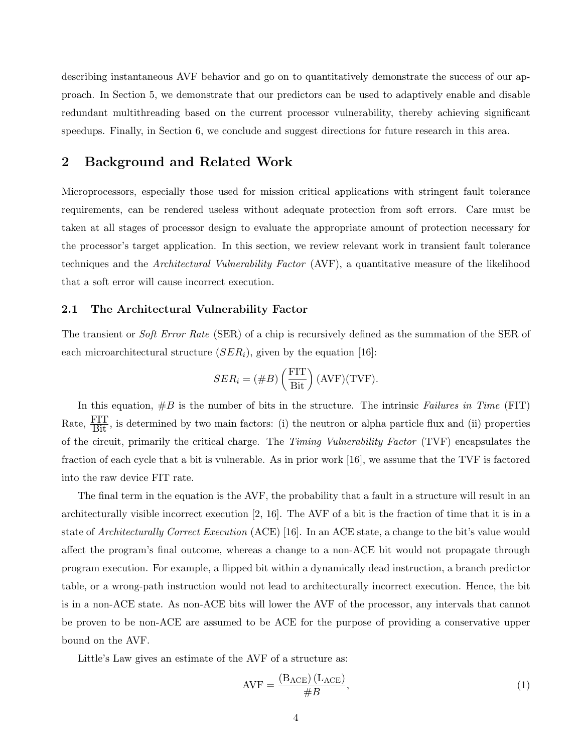describing instantaneous AVF behavior and go on to quantitatively demonstrate the success of our approach. In Section 5, we demonstrate that our predictors can be used to adaptively enable and disable redundant multithreading based on the current processor vulnerability, thereby achieving significant speedups. Finally, in Section 6, we conclude and suggest directions for future research in this area.

# 2 Background and Related Work

Microprocessors, especially those used for mission critical applications with stringent fault tolerance requirements, can be rendered useless without adequate protection from soft errors. Care must be taken at all stages of processor design to evaluate the appropriate amount of protection necessary for the processor's target application. In this section, we review relevant work in transient fault tolerance techniques and the *Architectural Vulnerability Factor* (AVF), a quantitative measure of the likelihood that a soft error will cause incorrect execution.

### 2.1 The Architectural Vulnerability Factor

The transient or *Soft Error Rate* (SER) of a chip is recursively defined as the summation of the SER of each microarchitectural structure  $(SER_i)$ , given by the equation [16]:

$$
SER_i = (\#B)\left(\frac{\text{FIT}}{\text{Bit}}\right)(\text{AVF})(\text{TVF}).
$$

In this equation,  $\#B$  is the number of bits in the structure. The intrinsic Failures in Time (FIT) Rate,  $\frac{FIT}{Bit}$ , is determined by two main factors: (i) the neutron or alpha particle flux and (ii) properties of the circuit, primarily the critical charge. The Timing Vulnerability Factor (TVF) encapsulates the fraction of each cycle that a bit is vulnerable. As in prior work [16], we assume that the TVF is factored into the raw device FIT rate.

The final term in the equation is the AVF, the probability that a fault in a structure will result in an architecturally visible incorrect execution [2, 16]. The AVF of a bit is the fraction of time that it is in a state of Architecturally Correct Execution (ACE) [16]. In an ACE state, a change to the bit's value would affect the program's final outcome, whereas a change to a non-ACE bit would not propagate through program execution. For example, a flipped bit within a dynamically dead instruction, a branch predictor table, or a wrong-path instruction would not lead to architecturally incorrect execution. Hence, the bit is in a non-ACE state. As non-ACE bits will lower the AVF of the processor, any intervals that cannot be proven to be non-ACE are assumed to be ACE for the purpose of providing a conservative upper bound on the AVF.

Little's Law gives an estimate of the AVF of a structure as:

$$
AVF = \frac{(B_{ACE})(L_{ACE})}{\#B},\tag{1}
$$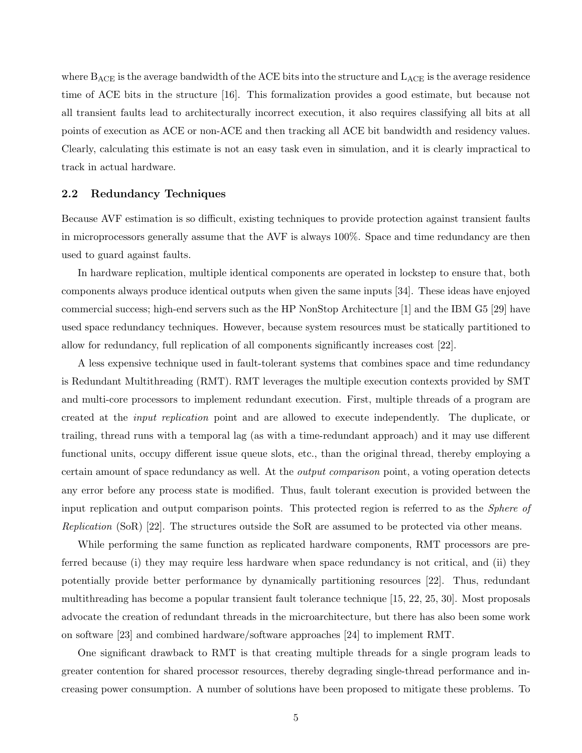where  $B_{ACE}$  is the average bandwidth of the ACE bits into the structure and  $L_{ACE}$  is the average residence time of ACE bits in the structure [16]. This formalization provides a good estimate, but because not all transient faults lead to architecturally incorrect execution, it also requires classifying all bits at all points of execution as ACE or non-ACE and then tracking all ACE bit bandwidth and residency values. Clearly, calculating this estimate is not an easy task even in simulation, and it is clearly impractical to track in actual hardware.

### 2.2 Redundancy Techniques

Because AVF estimation is so difficult, existing techniques to provide protection against transient faults in microprocessors generally assume that the AVF is always 100%. Space and time redundancy are then used to guard against faults.

In hardware replication, multiple identical components are operated in lockstep to ensure that, both components always produce identical outputs when given the same inputs [34]. These ideas have enjoyed commercial success; high-end servers such as the HP NonStop Architecture [1] and the IBM G5 [29] have used space redundancy techniques. However, because system resources must be statically partitioned to allow for redundancy, full replication of all components significantly increases cost [22].

A less expensive technique used in fault-tolerant systems that combines space and time redundancy is Redundant Multithreading (RMT). RMT leverages the multiple execution contexts provided by SMT and multi-core processors to implement redundant execution. First, multiple threads of a program are created at the input replication point and are allowed to execute independently. The duplicate, or trailing, thread runs with a temporal lag (as with a time-redundant approach) and it may use different functional units, occupy different issue queue slots, etc., than the original thread, thereby employing a certain amount of space redundancy as well. At the output comparison point, a voting operation detects any error before any process state is modified. Thus, fault tolerant execution is provided between the input replication and output comparison points. This protected region is referred to as the Sphere of Replication (SoR) [22]. The structures outside the SoR are assumed to be protected via other means.

While performing the same function as replicated hardware components, RMT processors are preferred because (i) they may require less hardware when space redundancy is not critical, and (ii) they potentially provide better performance by dynamically partitioning resources [22]. Thus, redundant multithreading has become a popular transient fault tolerance technique [15, 22, 25, 30]. Most proposals advocate the creation of redundant threads in the microarchitecture, but there has also been some work on software [23] and combined hardware/software approaches [24] to implement RMT.

One significant drawback to RMT is that creating multiple threads for a single program leads to greater contention for shared processor resources, thereby degrading single-thread performance and increasing power consumption. A number of solutions have been proposed to mitigate these problems. To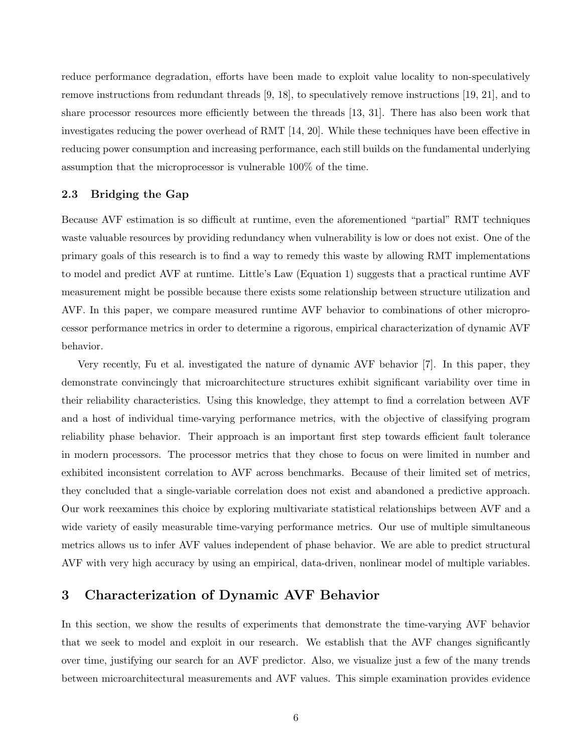reduce performance degradation, efforts have been made to exploit value locality to non-speculatively remove instructions from redundant threads [9, 18], to speculatively remove instructions [19, 21], and to share processor resources more efficiently between the threads [13, 31]. There has also been work that investigates reducing the power overhead of RMT [14, 20]. While these techniques have been effective in reducing power consumption and increasing performance, each still builds on the fundamental underlying assumption that the microprocessor is vulnerable 100% of the time.

### 2.3 Bridging the Gap

Because AVF estimation is so difficult at runtime, even the aforementioned "partial" RMT techniques waste valuable resources by providing redundancy when vulnerability is low or does not exist. One of the primary goals of this research is to find a way to remedy this waste by allowing RMT implementations to model and predict AVF at runtime. Little's Law (Equation 1) suggests that a practical runtime AVF measurement might be possible because there exists some relationship between structure utilization and AVF. In this paper, we compare measured runtime AVF behavior to combinations of other microprocessor performance metrics in order to determine a rigorous, empirical characterization of dynamic AVF behavior.

Very recently, Fu et al. investigated the nature of dynamic AVF behavior [7]. In this paper, they demonstrate convincingly that microarchitecture structures exhibit significant variability over time in their reliability characteristics. Using this knowledge, they attempt to find a correlation between AVF and a host of individual time-varying performance metrics, with the objective of classifying program reliability phase behavior. Their approach is an important first step towards efficient fault tolerance in modern processors. The processor metrics that they chose to focus on were limited in number and exhibited inconsistent correlation to AVF across benchmarks. Because of their limited set of metrics, they concluded that a single-variable correlation does not exist and abandoned a predictive approach. Our work reexamines this choice by exploring multivariate statistical relationships between AVF and a wide variety of easily measurable time-varying performance metrics. Our use of multiple simultaneous metrics allows us to infer AVF values independent of phase behavior. We are able to predict structural AVF with very high accuracy by using an empirical, data-driven, nonlinear model of multiple variables.

# 3 Characterization of Dynamic AVF Behavior

In this section, we show the results of experiments that demonstrate the time-varying AVF behavior that we seek to model and exploit in our research. We establish that the AVF changes significantly over time, justifying our search for an AVF predictor. Also, we visualize just a few of the many trends between microarchitectural measurements and AVF values. This simple examination provides evidence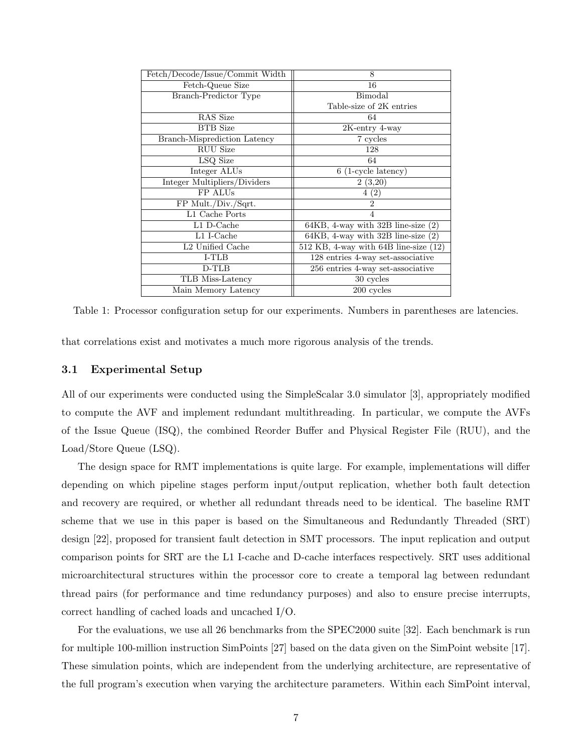| Fetch/Decode/Issue/Commit Width | 8                                         |  |
|---------------------------------|-------------------------------------------|--|
| Fetch-Queue Size                | 16                                        |  |
| Branch-Predictor Type           | Bimodal                                   |  |
|                                 | Table-size of 2K entries                  |  |
| RAS Size                        | 64                                        |  |
| <b>BTB</b> Size                 | 2K-entry 4-way                            |  |
| Branch-Misprediction Latency    | 7 cycles                                  |  |
| <b>RUU Size</b>                 | 128                                       |  |
| LSQ Size                        | 64                                        |  |
| Integer ALUs                    | $6(1$ -cycle latency)                     |  |
| Integer Multipliers/Dividers    | 2(3,20)                                   |  |
| FP ALUs                         | 4(2)                                      |  |
| FP Mult./Div./Sqrt.             | 2                                         |  |
| L1 Cache Ports                  | 4                                         |  |
| L1 D-Cache                      | 64KB, 4-way with 32B line-size (2)        |  |
| $L1$ I-Cache                    | $64KB$ , 4-way with 32B line-size $(2)$   |  |
| L2 Unified Cache                | 512 KB, 4-way with $64B$ line-size $(12)$ |  |
| I-TLB                           | 128 entries 4-way set-associative         |  |
| D-TLB                           | 256 entries 4-way set-associative         |  |
| TLB Miss-Latency                | 30 cycles                                 |  |
| Main Memory Latency             | 200 cycles                                |  |

Table 1: Processor configuration setup for our experiments. Numbers in parentheses are latencies.

that correlations exist and motivates a much more rigorous analysis of the trends.

#### 3.1 Experimental Setup

All of our experiments were conducted using the SimpleScalar 3.0 simulator [3], appropriately modified to compute the AVF and implement redundant multithreading. In particular, we compute the AVFs of the Issue Queue (ISQ), the combined Reorder Buffer and Physical Register File (RUU), and the Load/Store Queue (LSQ).

The design space for RMT implementations is quite large. For example, implementations will differ depending on which pipeline stages perform input/output replication, whether both fault detection and recovery are required, or whether all redundant threads need to be identical. The baseline RMT scheme that we use in this paper is based on the Simultaneous and Redundantly Threaded (SRT) design [22], proposed for transient fault detection in SMT processors. The input replication and output comparison points for SRT are the L1 I-cache and D-cache interfaces respectively. SRT uses additional microarchitectural structures within the processor core to create a temporal lag between redundant thread pairs (for performance and time redundancy purposes) and also to ensure precise interrupts, correct handling of cached loads and uncached I/O.

For the evaluations, we use all 26 benchmarks from the SPEC2000 suite [32]. Each benchmark is run for multiple 100-million instruction SimPoints [27] based on the data given on the SimPoint website [17]. These simulation points, which are independent from the underlying architecture, are representative of the full program's execution when varying the architecture parameters. Within each SimPoint interval,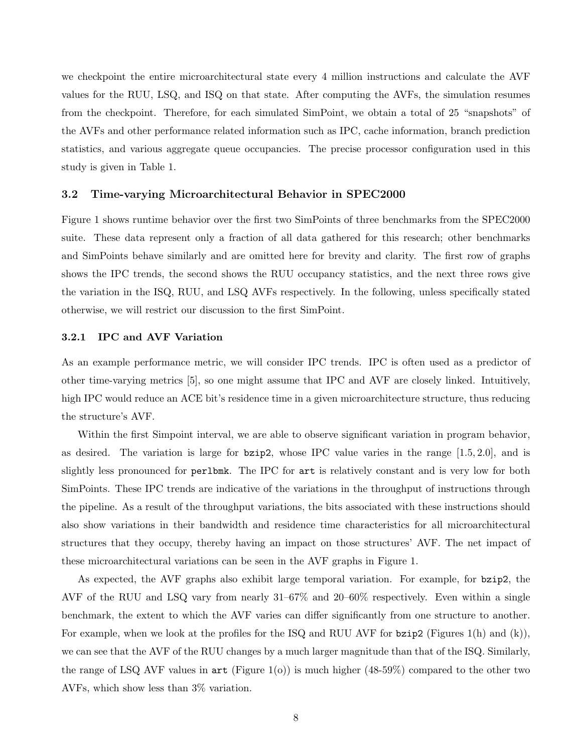we checkpoint the entire microarchitectural state every 4 million instructions and calculate the AVF values for the RUU, LSQ, and ISQ on that state. After computing the AVFs, the simulation resumes from the checkpoint. Therefore, for each simulated SimPoint, we obtain a total of 25 "snapshots" of the AVFs and other performance related information such as IPC, cache information, branch prediction statistics, and various aggregate queue occupancies. The precise processor configuration used in this study is given in Table 1.

#### 3.2 Time-varying Microarchitectural Behavior in SPEC2000

Figure 1 shows runtime behavior over the first two SimPoints of three benchmarks from the SPEC2000 suite. These data represent only a fraction of all data gathered for this research; other benchmarks and SimPoints behave similarly and are omitted here for brevity and clarity. The first row of graphs shows the IPC trends, the second shows the RUU occupancy statistics, and the next three rows give the variation in the ISQ, RUU, and LSQ AVFs respectively. In the following, unless specifically stated otherwise, we will restrict our discussion to the first SimPoint.

#### 3.2.1 IPC and AVF Variation

As an example performance metric, we will consider IPC trends. IPC is often used as a predictor of other time-varying metrics [5], so one might assume that IPC and AVF are closely linked. Intuitively, high IPC would reduce an ACE bit's residence time in a given microarchitecture structure, thus reducing the structure's AVF.

Within the first Simpoint interval, we are able to observe significant variation in program behavior, as desired. The variation is large for bzip2, whose IPC value varies in the range [1.5, 2.0], and is slightly less pronounced for perlbmk. The IPC for art is relatively constant and is very low for both SimPoints. These IPC trends are indicative of the variations in the throughput of instructions through the pipeline. As a result of the throughput variations, the bits associated with these instructions should also show variations in their bandwidth and residence time characteristics for all microarchitectural structures that they occupy, thereby having an impact on those structures' AVF. The net impact of these microarchitectural variations can be seen in the AVF graphs in Figure 1.

As expected, the AVF graphs also exhibit large temporal variation. For example, for bzip2, the AVF of the RUU and LSQ vary from nearly 31–67% and 20–60% respectively. Even within a single benchmark, the extent to which the AVF varies can differ significantly from one structure to another. For example, when we look at the profiles for the ISQ and RUU AVF for  $bzip2$  (Figures 1(h) and (k)), we can see that the AVF of the RUU changes by a much larger magnitude than that of the ISQ. Similarly, the range of LSQ AVF values in  $art$  (Figure 1(o)) is much higher (48-59%) compared to the other two AVFs, which show less than 3% variation.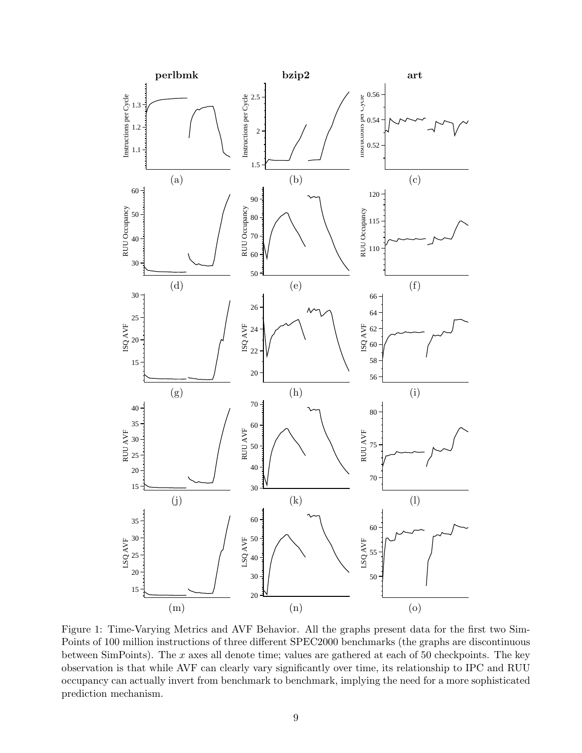

Figure 1: Time-Varying Metrics and AVF Behavior. All the graphs present data for the first two Sim-Points of 100 million instructions of three different SPEC2000 benchmarks (the graphs are discontinuous between SimPoints). The  $x$  axes all denote time; values are gathered at each of 50 checkpoints. The key observation is that while AVF can clearly vary significantly over time, its relationship to IPC and RUU occupancy can actually invert from benchmark to benchmark, implying the need for a more sophisticated prediction mechanism.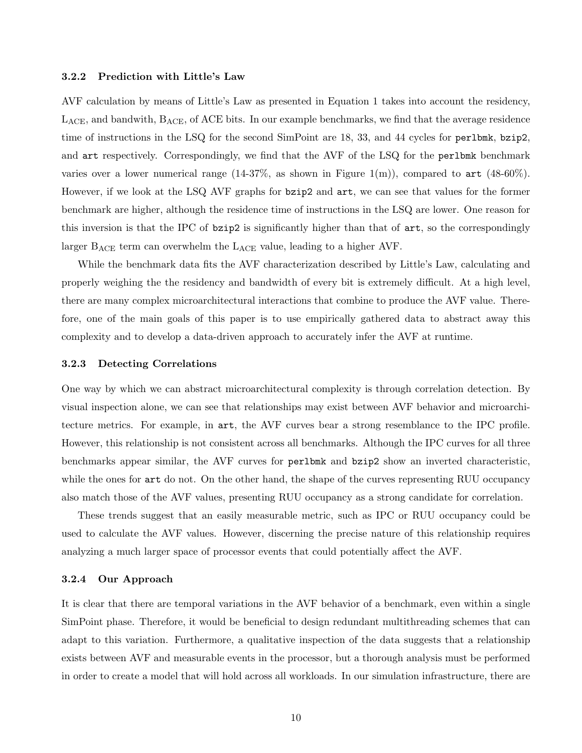#### 3.2.2 Prediction with Little's Law

AVF calculation by means of Little's Law as presented in Equation 1 takes into account the residency, LACE, and bandwith, BACE, of ACE bits. In our example benchmarks, we find that the average residence time of instructions in the LSQ for the second SimPoint are 18, 33, and 44 cycles for perlbmk, bzip2, and art respectively. Correspondingly, we find that the AVF of the LSQ for the perlbmk benchmark varies over a lower numerical range  $(14-37\%)$ , as shown in Figure 1(m)), compared to art  $(48-60\%)$ . However, if we look at the LSQ AVF graphs for bzip2 and art, we can see that values for the former benchmark are higher, although the residence time of instructions in the LSQ are lower. One reason for this inversion is that the IPC of bzip2 is significantly higher than that of art, so the correspondingly larger BACE term can overwhelm the LACE value, leading to a higher AVF.

While the benchmark data fits the AVF characterization described by Little's Law, calculating and properly weighing the the residency and bandwidth of every bit is extremely difficult. At a high level, there are many complex microarchitectural interactions that combine to produce the AVF value. Therefore, one of the main goals of this paper is to use empirically gathered data to abstract away this complexity and to develop a data-driven approach to accurately infer the AVF at runtime.

#### 3.2.3 Detecting Correlations

One way by which we can abstract microarchitectural complexity is through correlation detection. By visual inspection alone, we can see that relationships may exist between AVF behavior and microarchitecture metrics. For example, in art, the AVF curves bear a strong resemblance to the IPC profile. However, this relationship is not consistent across all benchmarks. Although the IPC curves for all three benchmarks appear similar, the AVF curves for perlbmk and bzip2 show an inverted characteristic, while the ones for art do not. On the other hand, the shape of the curves representing RUU occupancy also match those of the AVF values, presenting RUU occupancy as a strong candidate for correlation.

These trends suggest that an easily measurable metric, such as IPC or RUU occupancy could be used to calculate the AVF values. However, discerning the precise nature of this relationship requires analyzing a much larger space of processor events that could potentially affect the AVF.

#### 3.2.4 Our Approach

It is clear that there are temporal variations in the AVF behavior of a benchmark, even within a single SimPoint phase. Therefore, it would be beneficial to design redundant multithreading schemes that can adapt to this variation. Furthermore, a qualitative inspection of the data suggests that a relationship exists between AVF and measurable events in the processor, but a thorough analysis must be performed in order to create a model that will hold across all workloads. In our simulation infrastructure, there are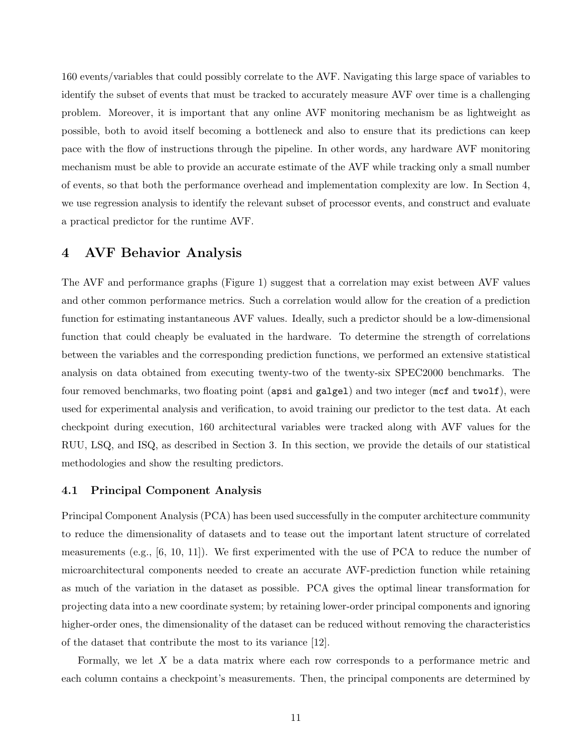160 events/variables that could possibly correlate to the AVF. Navigating this large space of variables to identify the subset of events that must be tracked to accurately measure AVF over time is a challenging problem. Moreover, it is important that any online AVF monitoring mechanism be as lightweight as possible, both to avoid itself becoming a bottleneck and also to ensure that its predictions can keep pace with the flow of instructions through the pipeline. In other words, any hardware AVF monitoring mechanism must be able to provide an accurate estimate of the AVF while tracking only a small number of events, so that both the performance overhead and implementation complexity are low. In Section 4, we use regression analysis to identify the relevant subset of processor events, and construct and evaluate a practical predictor for the runtime AVF.

# 4 AVF Behavior Analysis

The AVF and performance graphs (Figure 1) suggest that a correlation may exist between AVF values and other common performance metrics. Such a correlation would allow for the creation of a prediction function for estimating instantaneous AVF values. Ideally, such a predictor should be a low-dimensional function that could cheaply be evaluated in the hardware. To determine the strength of correlations between the variables and the corresponding prediction functions, we performed an extensive statistical analysis on data obtained from executing twenty-two of the twenty-six SPEC2000 benchmarks. The four removed benchmarks, two floating point (apsi and galgel) and two integer (mcf and twolf), were used for experimental analysis and verification, to avoid training our predictor to the test data. At each checkpoint during execution, 160 architectural variables were tracked along with AVF values for the RUU, LSQ, and ISQ, as described in Section 3. In this section, we provide the details of our statistical methodologies and show the resulting predictors.

### 4.1 Principal Component Analysis

Principal Component Analysis (PCA) has been used successfully in the computer architecture community to reduce the dimensionality of datasets and to tease out the important latent structure of correlated measurements (e.g., [6, 10, 11]). We first experimented with the use of PCA to reduce the number of microarchitectural components needed to create an accurate AVF-prediction function while retaining as much of the variation in the dataset as possible. PCA gives the optimal linear transformation for projecting data into a new coordinate system; by retaining lower-order principal components and ignoring higher-order ones, the dimensionality of the dataset can be reduced without removing the characteristics of the dataset that contribute the most to its variance [12].

Formally, we let X be a data matrix where each row corresponds to a performance metric and each column contains a checkpoint's measurements. Then, the principal components are determined by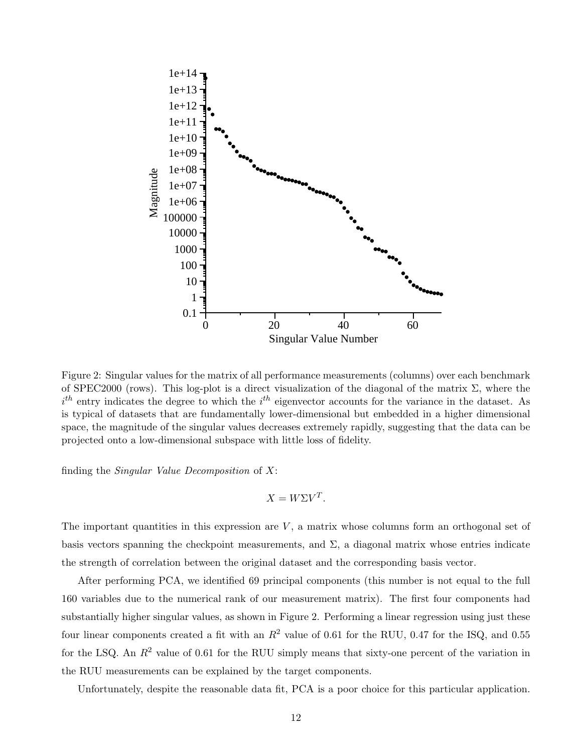

Figure 2: Singular values for the matrix of all performance measurements (columns) over each benchmark of SPEC2000 (rows). This log-plot is a direct visualization of the diagonal of the matrix  $\Sigma$ , where the  $i<sup>th</sup>$  entry indicates the degree to which the  $i<sup>th</sup>$  eigenvector accounts for the variance in the dataset. As is typical of datasets that are fundamentally lower-dimensional but embedded in a higher dimensional space, the magnitude of the singular values decreases extremely rapidly, suggesting that the data can be projected onto a low-dimensional subspace with little loss of fidelity.

finding the Singular Value Decomposition of X:

$$
X = W\Sigma V^T.
$$

The important quantities in this expression are  $V$ , a matrix whose columns form an orthogonal set of basis vectors spanning the checkpoint measurements, and  $\Sigma$ , a diagonal matrix whose entries indicate the strength of correlation between the original dataset and the corresponding basis vector.

After performing PCA, we identified 69 principal components (this number is not equal to the full 160 variables due to the numerical rank of our measurement matrix). The first four components had substantially higher singular values, as shown in Figure 2. Performing a linear regression using just these four linear components created a fit with an  $R^2$  value of 0.61 for the RUU, 0.47 for the ISQ, and 0.55 for the LSQ. An  $R^2$  value of 0.61 for the RUU simply means that sixty-one percent of the variation in the RUU measurements can be explained by the target components.

Unfortunately, despite the reasonable data fit, PCA is a poor choice for this particular application.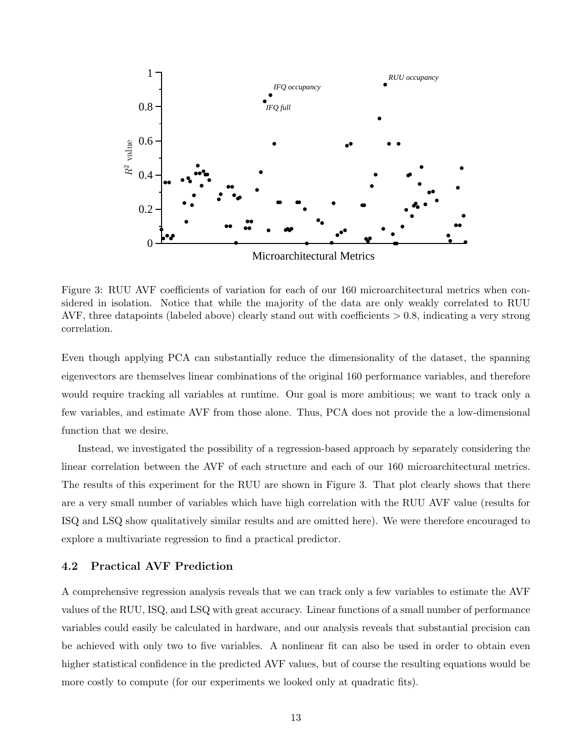

Figure 3: RUU AVF coefficients of variation for each of our 160 microarchitectural metrics when considered in isolation. Notice that while the majority of the data are only weakly correlated to RUU AVF, three datapoints (labeled above) clearly stand out with coefficients > 0.8, indicating a very strong correlation.

Even though applying PCA can substantially reduce the dimensionality of the dataset, the spanning eigenvectors are themselves linear combinations of the original 160 performance variables, and therefore would require tracking all variables at runtime. Our goal is more ambitious; we want to track only a few variables, and estimate AVF from those alone. Thus, PCA does not provide the a low-dimensional function that we desire.

Instead, we investigated the possibility of a regression-based approach by separately considering the linear correlation between the AVF of each structure and each of our 160 microarchitectural metrics. The results of this experiment for the RUU are shown in Figure 3. That plot clearly shows that there are a very small number of variables which have high correlation with the RUU AVF value (results for ISQ and LSQ show qualitatively similar results and are omitted here). We were therefore encouraged to explore a multivariate regression to find a practical predictor.

## 4.2 Practical AVF Prediction

A comprehensive regression analysis reveals that we can track only a few variables to estimate the AVF values of the RUU, ISQ, and LSQ with great accuracy. Linear functions of a small number of performance variables could easily be calculated in hardware, and our analysis reveals that substantial precision can be achieved with only two to five variables. A nonlinear fit can also be used in order to obtain even higher statistical confidence in the predicted AVF values, but of course the resulting equations would be more costly to compute (for our experiments we looked only at quadratic fits).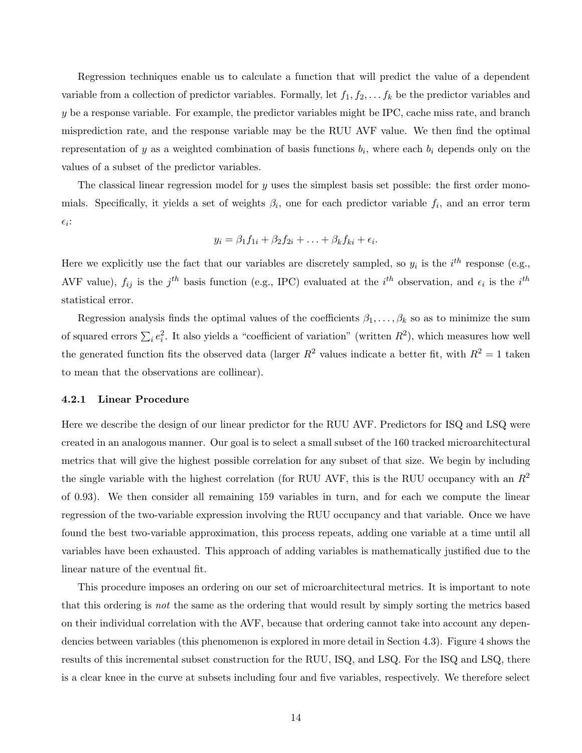Regression techniques enable us to calculate a function that will predict the value of a dependent variable from a collection of predictor variables. Formally, let  $f_1, f_2, \ldots, f_k$  be the predictor variables and y be a response variable. For example, the predictor variables might be IPC, cache miss rate, and branch misprediction rate, and the response variable may be the RUU AVF value. We then find the optimal representation of y as a weighted combination of basis functions  $b_i$ , where each  $b_i$  depends only on the values of a subset of the predictor variables.

The classical linear regression model for y uses the simplest basis set possible: the first order monomials. Specifically, it yields a set of weights  $\beta_i$ , one for each predictor variable  $f_i$ , and an error term  $\epsilon_i$ :

$$
y_i = \beta_1 f_{1i} + \beta_2 f_{2i} + \ldots + \beta_k f_{ki} + \epsilon_i.
$$

Here we explicitly use the fact that our variables are discretely sampled, so  $y_i$  is the  $i^{th}$  response (e.g., AVF value),  $f_{ij}$  is the j<sup>th</sup> basis function (e.g., IPC) evaluated at the i<sup>th</sup> observation, and  $\epsilon_i$  is the i<sup>th</sup> statistical error.

Regression analysis finds the optimal values of the coefficients  $\beta_1, \ldots, \beta_k$  so as to minimize the sum of squared errors  $\sum_i e_i^2$ . It also yields a "coefficient of variation" (written  $R^2$ ), which measures how well the generated function fits the observed data (larger  $R^2$  values indicate a better fit, with  $R^2 = 1$  taken to mean that the observations are collinear).

#### 4.2.1 Linear Procedure

Here we describe the design of our linear predictor for the RUU AVF. Predictors for ISQ and LSQ were created in an analogous manner. Our goal is to select a small subset of the 160 tracked microarchitectural metrics that will give the highest possible correlation for any subset of that size. We begin by including the single variable with the highest correlation (for RUU AVF, this is the RUU occupancy with an  $R^2$ of 0.93). We then consider all remaining 159 variables in turn, and for each we compute the linear regression of the two-variable expression involving the RUU occupancy and that variable. Once we have found the best two-variable approximation, this process repeats, adding one variable at a time until all variables have been exhausted. This approach of adding variables is mathematically justified due to the linear nature of the eventual fit.

This procedure imposes an ordering on our set of microarchitectural metrics. It is important to note that this ordering is not the same as the ordering that would result by simply sorting the metrics based on their individual correlation with the AVF, because that ordering cannot take into account any dependencies between variables (this phenomenon is explored in more detail in Section 4.3). Figure 4 shows the results of this incremental subset construction for the RUU, ISQ, and LSQ. For the ISQ and LSQ, there is a clear knee in the curve at subsets including four and five variables, respectively. We therefore select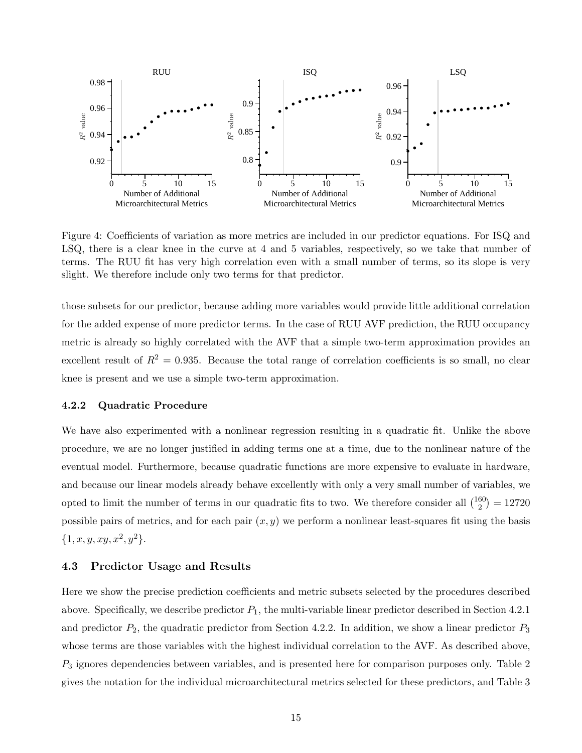

Figure 4: Coefficients of variation as more metrics are included in our predictor equations. For ISQ and LSQ, there is a clear knee in the curve at 4 and 5 variables, respectively, so we take that number of terms. The RUU fit has very high correlation even with a small number of terms, so its slope is very slight. We therefore include only two terms for that predictor.

those subsets for our predictor, because adding more variables would provide little additional correlation for the added expense of more predictor terms. In the case of RUU AVF prediction, the RUU occupancy metric is already so highly correlated with the AVF that a simple two-term approximation provides an excellent result of  $R^2 = 0.935$ . Because the total range of correlation coefficients is so small, no clear knee is present and we use a simple two-term approximation.

#### 4.2.2 Quadratic Procedure

We have also experimented with a nonlinear regression resulting in a quadratic fit. Unlike the above procedure, we are no longer justified in adding terms one at a time, due to the nonlinear nature of the eventual model. Furthermore, because quadratic functions are more expensive to evaluate in hardware, and because our linear models already behave excellently with only a very small number of variables, we opted to limit the number of terms in our quadratic fits to two. We therefore consider all  $\binom{160}{2}$  $\binom{60}{2} = 12720$ possible pairs of metrics, and for each pair  $(x, y)$  we perform a nonlinear least-squares fit using the basis  $\{1, x, y, xy, x^2, y^2\}.$ 

### 4.3 Predictor Usage and Results

Here we show the precise prediction coefficients and metric subsets selected by the procedures described above. Specifically, we describe predictor  $P_1$ , the multi-variable linear predictor described in Section 4.2.1 and predictor  $P_2$ , the quadratic predictor from Section 4.2.2. In addition, we show a linear predictor  $P_3$ whose terms are those variables with the highest individual correlation to the AVF. As described above,  $P_3$  ignores dependencies between variables, and is presented here for comparison purposes only. Table 2 gives the notation for the individual microarchitectural metrics selected for these predictors, and Table 3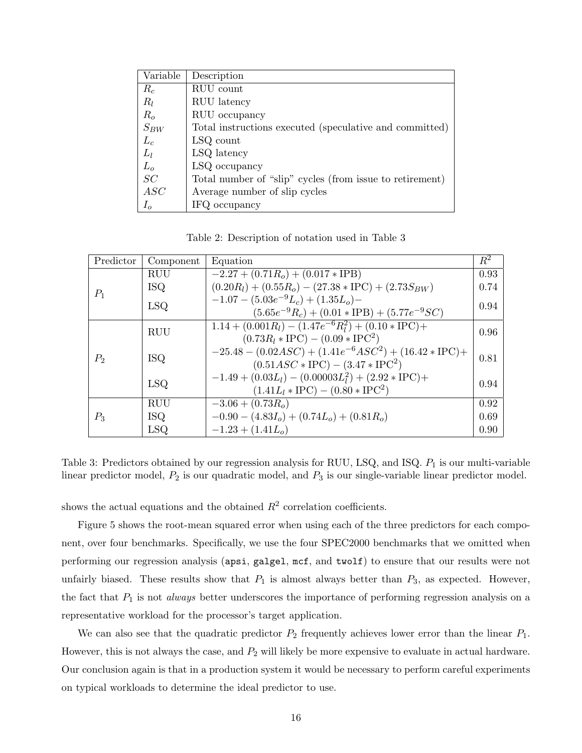| Variable | Description                                              |
|----------|----------------------------------------------------------|
| $R_c$    | RUU count                                                |
| $R_l$    | RUU latency                                              |
| $R_o$    | RUU occupancy                                            |
| $S_{BW}$ | Total instructions executed (speculative and committed)  |
| $L_c$    | LSQ count                                                |
| $L_l$    | LSQ latency                                              |
| $L_o$    | LSQ occupancy                                            |
| SC       | Total number of "slip" cycles (from issue to retirement) |
| ASC      | Average number of slip cycles                            |
| $I_{o}$  | IFQ occupancy                                            |

Table 2: Description of notation used in Table 3

| Predictor      | Component  | Equation                                                                                           | $\overline{R^2}$ |
|----------------|------------|----------------------------------------------------------------------------------------------------|------------------|
| $P_1$          | <b>RUU</b> | $-2.27 + (0.71Ro) + (0.017 * IPB)$                                                                 | 0.93             |
|                | ISQ        | $(0.20R_l) + (0.55R_o) - (27.38 * IPC) + (2.73S_{BW})$                                             | 0.74             |
|                | LSQ        | $-1.07 - (5.03e^{-9}L_c) + (1.35L_o)$<br>$(5.65e^{-9}R_c) + (0.01 * IPB) + (5.77e^{-9}SC)$         | 0.94             |
| P <sub>2</sub> | <b>RUU</b> | $1.14 + (0.001R_l) - (1.47e^{-6}R_l^2) + (0.10*IPC) +$<br>$(0.73R_l * IPC) - (0.09 * IPC^2)$       | 0.96             |
|                | ISQ        | $-25.48 - (0.02ASC) + (1.41e^{-6}ASC^{2}) + (16.42 * IPC) +$<br>$(0.51ASC * IPC) - (3.47 * IPC2)$  | 0.81             |
|                | LSQ        | $-1.49 + (0.03L_l) - (0.00003L_l^2) + (2.92 * \text{IPC}) +$<br>$(1.41L_l * IPC) - (0.80 * IPC^2)$ | 0.94             |
| $P_3$          | <b>RUU</b> | $-3.06 + (0.73Ro)$                                                                                 | 0.92             |
|                | <b>ISQ</b> | $-0.90 - (4.83Io) + (0.74Lo) + (0.81Ro)$                                                           | 0.69             |
|                | LSQ        | $-1.23 + (1.41L_o)$                                                                                | 0.90             |

Table 3: Predictors obtained by our regression analysis for RUU, LSQ, and ISQ.  $P_1$  is our multi-variable linear predictor model,  $P_2$  is our quadratic model, and  $P_3$  is our single-variable linear predictor model.

shows the actual equations and the obtained  $R^2$  correlation coefficients.

Figure 5 shows the root-mean squared error when using each of the three predictors for each component, over four benchmarks. Specifically, we use the four SPEC2000 benchmarks that we omitted when performing our regression analysis (apsi, galgel, mcf, and twolf) to ensure that our results were not unfairly biased. These results show that  $P_1$  is almost always better than  $P_3$ , as expected. However, the fact that  $P_1$  is not *always* better underscores the importance of performing regression analysis on a representative workload for the processor's target application.

We can also see that the quadratic predictor  $P_2$  frequently achieves lower error than the linear  $P_1$ . However, this is not always the case, and  $P_2$  will likely be more expensive to evaluate in actual hardware. Our conclusion again is that in a production system it would be necessary to perform careful experiments on typical workloads to determine the ideal predictor to use.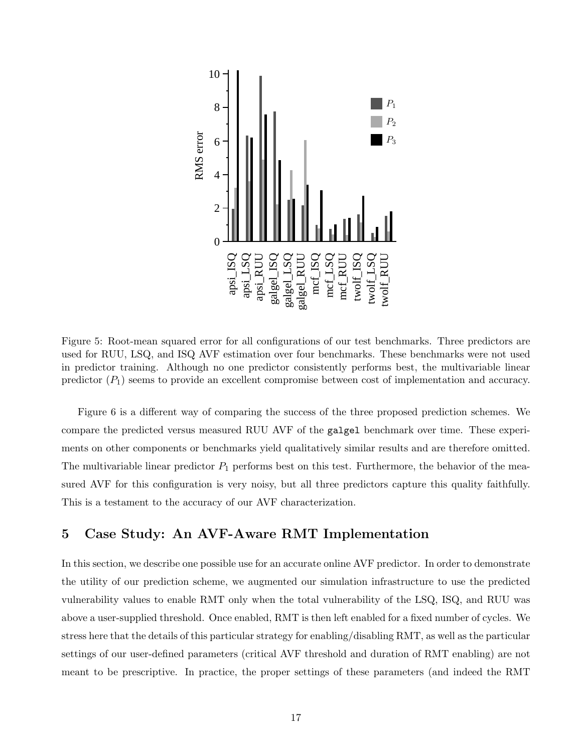

Figure 5: Root-mean squared error for all configurations of our test benchmarks. Three predictors are used for RUU, LSQ, and ISQ AVF estimation over four benchmarks. These benchmarks were not used in predictor training. Although no one predictor consistently performs best, the multivariable linear predictor  $(P_1)$  seems to provide an excellent compromise between cost of implementation and accuracy.

Figure 6 is a different way of comparing the success of the three proposed prediction schemes. We compare the predicted versus measured RUU AVF of the galgel benchmark over time. These experiments on other components or benchmarks yield qualitatively similar results and are therefore omitted. The multivariable linear predictor  $P_1$  performs best on this test. Furthermore, the behavior of the measured AVF for this configuration is very noisy, but all three predictors capture this quality faithfully. This is a testament to the accuracy of our AVF characterization.

# 5 Case Study: An AVF-Aware RMT Implementation

In this section, we describe one possible use for an accurate online AVF predictor. In order to demonstrate the utility of our prediction scheme, we augmented our simulation infrastructure to use the predicted vulnerability values to enable RMT only when the total vulnerability of the LSQ, ISQ, and RUU was above a user-supplied threshold. Once enabled, RMT is then left enabled for a fixed number of cycles. We stress here that the details of this particular strategy for enabling/disabling RMT, as well as the particular settings of our user-defined parameters (critical AVF threshold and duration of RMT enabling) are not meant to be prescriptive. In practice, the proper settings of these parameters (and indeed the RMT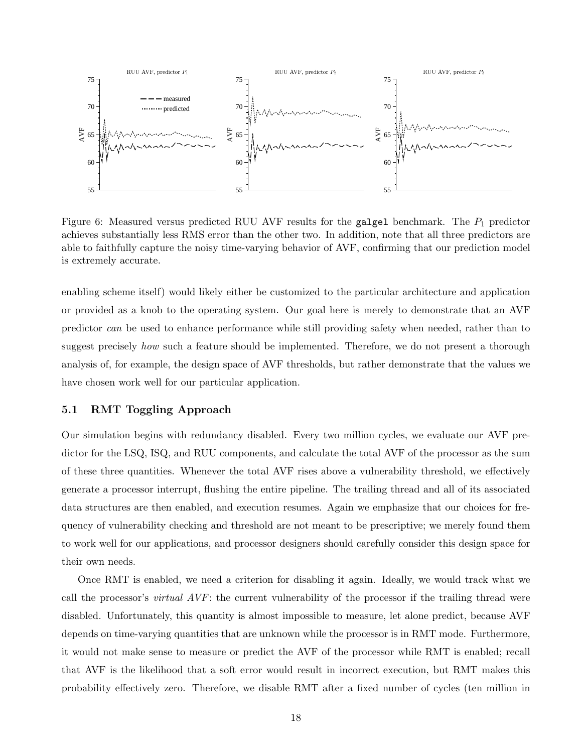

Figure 6: Measured versus predicted RUU AVF results for the galgel benchmark. The  $P_1$  predictor achieves substantially less RMS error than the other two. In addition, note that all three predictors are able to faithfully capture the noisy time-varying behavior of AVF, confirming that our prediction model is extremely accurate.

enabling scheme itself) would likely either be customized to the particular architecture and application or provided as a knob to the operating system. Our goal here is merely to demonstrate that an AVF predictor can be used to enhance performance while still providing safety when needed, rather than to suggest precisely *how* such a feature should be implemented. Therefore, we do not present a thorough analysis of, for example, the design space of AVF thresholds, but rather demonstrate that the values we have chosen work well for our particular application.

### 5.1 RMT Toggling Approach

Our simulation begins with redundancy disabled. Every two million cycles, we evaluate our AVF predictor for the LSQ, ISQ, and RUU components, and calculate the total AVF of the processor as the sum of these three quantities. Whenever the total AVF rises above a vulnerability threshold, we effectively generate a processor interrupt, flushing the entire pipeline. The trailing thread and all of its associated data structures are then enabled, and execution resumes. Again we emphasize that our choices for frequency of vulnerability checking and threshold are not meant to be prescriptive; we merely found them to work well for our applications, and processor designers should carefully consider this design space for their own needs.

Once RMT is enabled, we need a criterion for disabling it again. Ideally, we would track what we call the processor's *virtual AVF*: the current vulnerability of the processor if the trailing thread were disabled. Unfortunately, this quantity is almost impossible to measure, let alone predict, because AVF depends on time-varying quantities that are unknown while the processor is in RMT mode. Furthermore, it would not make sense to measure or predict the AVF of the processor while RMT is enabled; recall that AVF is the likelihood that a soft error would result in incorrect execution, but RMT makes this probability effectively zero. Therefore, we disable RMT after a fixed number of cycles (ten million in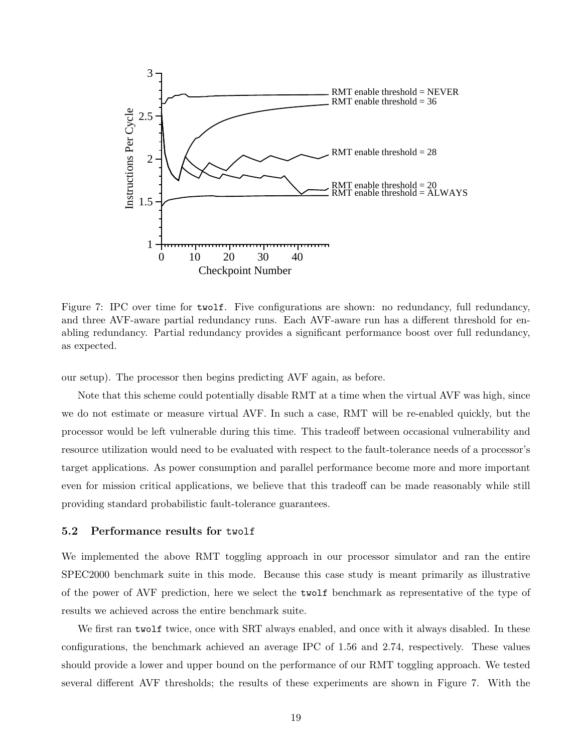

Figure 7: IPC over time for **twolf**. Five configurations are shown: no redundancy, full redundancy, and three AVF-aware partial redundancy runs. Each AVF-aware run has a different threshold for enabling redundancy. Partial redundancy provides a significant performance boost over full redundancy, as expected.

our setup). The processor then begins predicting AVF again, as before.

Note that this scheme could potentially disable RMT at a time when the virtual AVF was high, since we do not estimate or measure virtual AVF. In such a case, RMT will be re-enabled quickly, but the processor would be left vulnerable during this time. This tradeoff between occasional vulnerability and resource utilization would need to be evaluated with respect to the fault-tolerance needs of a processor's target applications. As power consumption and parallel performance become more and more important even for mission critical applications, we believe that this tradeoff can be made reasonably while still providing standard probabilistic fault-tolerance guarantees.

#### 5.2 Performance results for twolf

We implemented the above RMT toggling approach in our processor simulator and ran the entire SPEC2000 benchmark suite in this mode. Because this case study is meant primarily as illustrative of the power of AVF prediction, here we select the twolf benchmark as representative of the type of results we achieved across the entire benchmark suite.

We first ran **twolf** twice, once with SRT always enabled, and once with it always disabled. In these configurations, the benchmark achieved an average IPC of 1.56 and 2.74, respectively. These values should provide a lower and upper bound on the performance of our RMT toggling approach. We tested several different AVF thresholds; the results of these experiments are shown in Figure 7. With the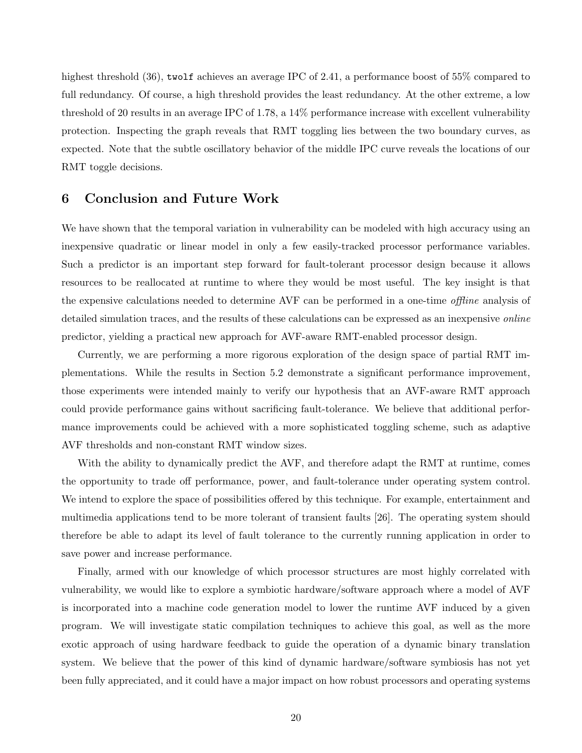highest threshold (36), twolf achieves an average IPC of 2.41, a performance boost of 55% compared to full redundancy. Of course, a high threshold provides the least redundancy. At the other extreme, a low threshold of 20 results in an average IPC of 1.78, a 14% performance increase with excellent vulnerability protection. Inspecting the graph reveals that RMT toggling lies between the two boundary curves, as expected. Note that the subtle oscillatory behavior of the middle IPC curve reveals the locations of our RMT toggle decisions.

## 6 Conclusion and Future Work

We have shown that the temporal variation in vulnerability can be modeled with high accuracy using an inexpensive quadratic or linear model in only a few easily-tracked processor performance variables. Such a predictor is an important step forward for fault-tolerant processor design because it allows resources to be reallocated at runtime to where they would be most useful. The key insight is that the expensive calculations needed to determine AVF can be performed in a one-time offline analysis of detailed simulation traces, and the results of these calculations can be expressed as an inexpensive *online* predictor, yielding a practical new approach for AVF-aware RMT-enabled processor design.

Currently, we are performing a more rigorous exploration of the design space of partial RMT implementations. While the results in Section 5.2 demonstrate a significant performance improvement, those experiments were intended mainly to verify our hypothesis that an AVF-aware RMT approach could provide performance gains without sacrificing fault-tolerance. We believe that additional performance improvements could be achieved with a more sophisticated toggling scheme, such as adaptive AVF thresholds and non-constant RMT window sizes.

With the ability to dynamically predict the AVF, and therefore adapt the RMT at runtime, comes the opportunity to trade off performance, power, and fault-tolerance under operating system control. We intend to explore the space of possibilities offered by this technique. For example, entertainment and multimedia applications tend to be more tolerant of transient faults [26]. The operating system should therefore be able to adapt its level of fault tolerance to the currently running application in order to save power and increase performance.

Finally, armed with our knowledge of which processor structures are most highly correlated with vulnerability, we would like to explore a symbiotic hardware/software approach where a model of AVF is incorporated into a machine code generation model to lower the runtime AVF induced by a given program. We will investigate static compilation techniques to achieve this goal, as well as the more exotic approach of using hardware feedback to guide the operation of a dynamic binary translation system. We believe that the power of this kind of dynamic hardware/software symbiosis has not yet been fully appreciated, and it could have a major impact on how robust processors and operating systems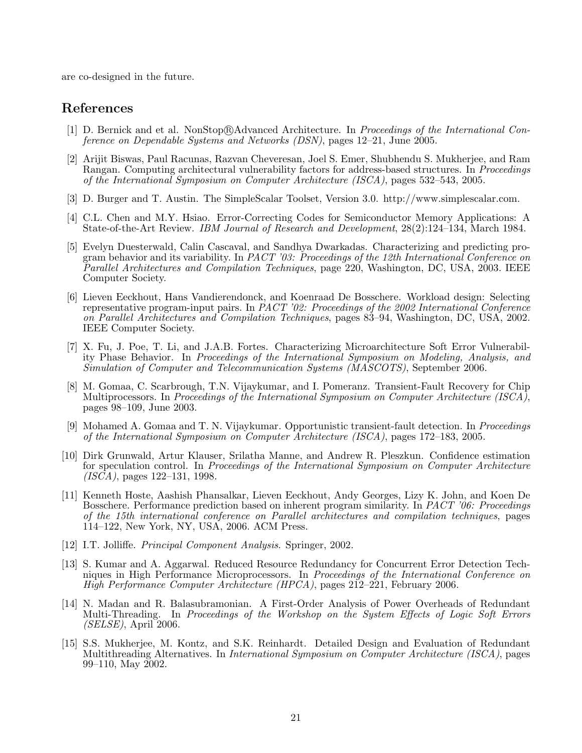are co-designed in the future.

# References

- [1] D. Bernick and et al. NonStop R Advanced Architecture. In Proceedings of the International Conference on Dependable Systems and Networks (DSN), pages 12–21, June 2005.
- [2] Arijit Biswas, Paul Racunas, Razvan Cheveresan, Joel S. Emer, Shubhendu S. Mukherjee, and Ram Rangan. Computing architectural vulnerability factors for address-based structures. In Proceedings of the International Symposium on Computer Architecture (ISCA), pages 532–543, 2005.
- [3] D. Burger and T. Austin. The SimpleScalar Toolset, Version 3.0. http://www.simplescalar.com.
- [4] C.L. Chen and M.Y. Hsiao. Error-Correcting Codes for Semiconductor Memory Applications: A State-of-the-Art Review. IBM Journal of Research and Development, 28(2):124–134, March 1984.
- [5] Evelyn Duesterwald, Calin Cascaval, and Sandhya Dwarkadas. Characterizing and predicting program behavior and its variability. In PACT '03: Proceedings of the 12th International Conference on Parallel Architectures and Compilation Techniques, page 220, Washington, DC, USA, 2003. IEEE Computer Society.
- [6] Lieven Eeckhout, Hans Vandierendonck, and Koenraad De Bosschere. Workload design: Selecting representative program-input pairs. In PACT '02: Proceedings of the 2002 International Conference on Parallel Architectures and Compilation Techniques, pages 83–94, Washington, DC, USA, 2002. IEEE Computer Society.
- [7] X. Fu, J. Poe, T. Li, and J.A.B. Fortes. Characterizing Microarchitecture Soft Error Vulnerability Phase Behavior. In Proceedings of the International Symposium on Modeling, Analysis, and Simulation of Computer and Telecommunication Systems (MASCOTS), September 2006.
- [8] M. Gomaa, C. Scarbrough, T.N. Vijaykumar, and I. Pomeranz. Transient-Fault Recovery for Chip Multiprocessors. In Proceedings of the International Symposium on Computer Architecture (ISCA), pages 98–109, June 2003.
- [9] Mohamed A. Gomaa and T. N. Vijaykumar. Opportunistic transient-fault detection. In Proceedings of the International Symposium on Computer Architecture (ISCA), pages 172–183, 2005.
- [10] Dirk Grunwald, Artur Klauser, Srilatha Manne, and Andrew R. Pleszkun. Confidence estimation for speculation control. In Proceedings of the International Symposium on Computer Architecture (ISCA), pages 122–131, 1998.
- [11] Kenneth Hoste, Aashish Phansalkar, Lieven Eeckhout, Andy Georges, Lizy K. John, and Koen De Bosschere. Performance prediction based on inherent program similarity. In PACT '06: Proceedings of the 15th international conference on Parallel architectures and compilation techniques, pages 114–122, New York, NY, USA, 2006. ACM Press.
- [12] I.T. Jolliffe. Principal Component Analysis. Springer, 2002.
- [13] S. Kumar and A. Aggarwal. Reduced Resource Redundancy for Concurrent Error Detection Techniques in High Performance Microprocessors. In Proceedings of the International Conference on High Performance Computer Architecture (HPCA), pages 212–221, February 2006.
- [14] N. Madan and R. Balasubramonian. A First-Order Analysis of Power Overheads of Redundant Multi-Threading. In Proceedings of the Workshop on the System Effects of Logic Soft Errors (SELSE), April 2006.
- [15] S.S. Mukherjee, M. Kontz, and S.K. Reinhardt. Detailed Design and Evaluation of Redundant Multithreading Alternatives. In International Symposium on Computer Architecture (ISCA), pages 99–110, May 2002.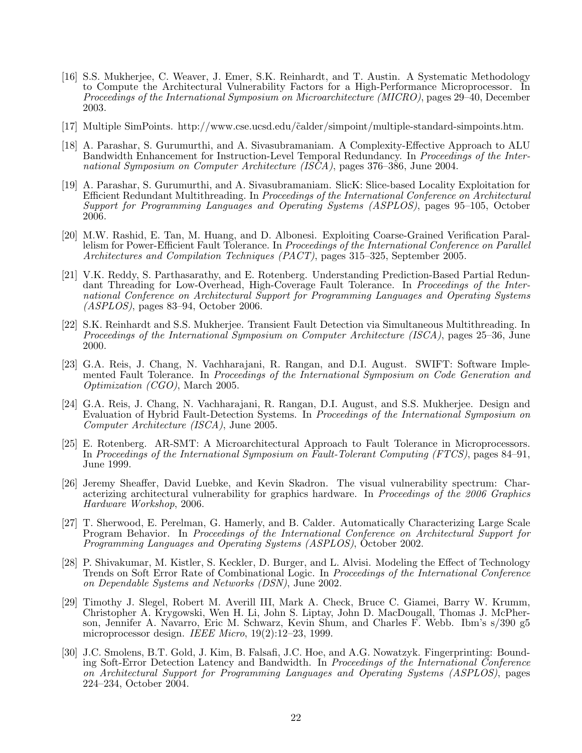- [16] S.S. Mukherjee, C. Weaver, J. Emer, S.K. Reinhardt, and T. Austin. A Systematic Methodology to Compute the Architectural Vulnerability Factors for a High-Performance Microprocessor. In Proceedings of the International Symposium on Microarchitecture (MICRO), pages 29–40, December 2003.
- [17] Multiple SimPoints. http://www.cse.ucsd.edu/˜calder/simpoint/multiple-standard-simpoints.htm.
- [18] A. Parashar, S. Gurumurthi, and A. Sivasubramaniam. A Complexity-Effective Approach to ALU Bandwidth Enhancement for Instruction-Level Temporal Redundancy. In Proceedings of the International Symposium on Computer Architecture (ISCA), pages 376–386, June 2004.
- [19] A. Parashar, S. Gurumurthi, and A. Sivasubramaniam. SlicK: Slice-based Locality Exploitation for Efficient Redundant Multithreading. In Proceedings of the International Conference on Architectural Support for Programming Languages and Operating Systems (ASPLOS), pages 95–105, October 2006.
- [20] M.W. Rashid, E. Tan, M. Huang, and D. Albonesi. Exploiting Coarse-Grained Verification Parallelism for Power-Efficient Fault Tolerance. In Proceedings of the International Conference on Parallel Architectures and Compilation Techniques (PACT), pages 315–325, September 2005.
- [21] V.K. Reddy, S. Parthasarathy, and E. Rotenberg. Understanding Prediction-Based Partial Redundant Threading for Low-Overhead, High-Coverage Fault Tolerance. In *Proceedings of the Inter*national Conference on Architectural Support for Programming Languages and Operating Systems (ASPLOS), pages 83–94, October 2006.
- [22] S.K. Reinhardt and S.S. Mukherjee. Transient Fault Detection via Simultaneous Multithreading. In Proceedings of the International Symposium on Computer Architecture (ISCA), pages 25–36, June 2000.
- [23] G.A. Reis, J. Chang, N. Vachharajani, R. Rangan, and D.I. August. SWIFT: Software Implemented Fault Tolerance. In Proceedings of the International Symposium on Code Generation and Optimization (CGO), March 2005.
- [24] G.A. Reis, J. Chang, N. Vachharajani, R. Rangan, D.I. August, and S.S. Mukherjee. Design and Evaluation of Hybrid Fault-Detection Systems. In Proceedings of the International Symposium on Computer Architecture (ISCA), June 2005.
- [25] E. Rotenberg. AR-SMT: A Microarchitectural Approach to Fault Tolerance in Microprocessors. In Proceedings of the International Symposium on Fault-Tolerant Computing (FTCS), pages 84–91, June 1999.
- [26] Jeremy Sheaffer, David Luebke, and Kevin Skadron. The visual vulnerability spectrum: Characterizing architectural vulnerability for graphics hardware. In Proceedings of the 2006 Graphics Hardware Workshop, 2006.
- [27] T. Sherwood, E. Perelman, G. Hamerly, and B. Calder. Automatically Characterizing Large Scale Program Behavior. In Proceedings of the International Conference on Architectural Support for Programming Languages and Operating Systems (ASPLOS), October 2002.
- [28] P. Shivakumar, M. Kistler, S. Keckler, D. Burger, and L. Alvisi. Modeling the Effect of Technology Trends on Soft Error Rate of Combinational Logic. In Proceedings of the International Conference on Dependable Systems and Networks (DSN), June 2002.
- [29] Timothy J. Slegel, Robert M. Averill III, Mark A. Check, Bruce C. Giamei, Barry W. Krumm, Christopher A. Krygowski, Wen H. Li, John S. Liptay, John D. MacDougall, Thomas J. McPherson, Jennifer A. Navarro, Eric M. Schwarz, Kevin Shum, and Charles F. Webb. Ibm's s/390 g5 microprocessor design. IEEE Micro, 19(2):12–23, 1999.
- [30] J.C. Smolens, B.T. Gold, J. Kim, B. Falsafi, J.C. Hoe, and A.G. Nowatzyk. Fingerprinting: Bounding Soft-Error Detection Latency and Bandwidth. In Proceedings of the International Conference on Architectural Support for Programming Languages and Operating Systems (ASPLOS), pages 224–234, October 2004.